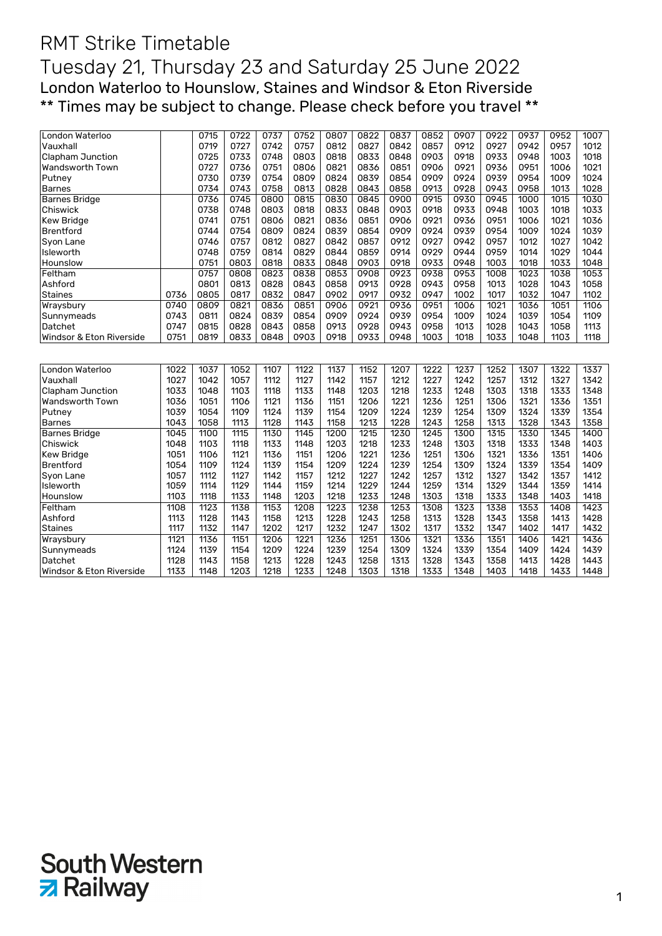## RMT Strike Timetable Tuesday 21, Thursday 23 and Saturday 25 June 2022 London Waterloo to Hounslow, Staines and Windsor & Eton Riverside \*\* Times may be subject to change. Please check before you travel \*\*

| London Waterloo          |      | 0715 | 0722 | 0737 | 0752 | 0807 | 0822 | 0837 | 0852 | 0907 | 0922 | 0937 | 0952 | 1007 |
|--------------------------|------|------|------|------|------|------|------|------|------|------|------|------|------|------|
| Vauxhall                 |      | 0719 | 0727 | 0742 | 0757 | 0812 | 0827 | 0842 | 0857 | 0912 | 0927 | 0942 | 0957 | 1012 |
| <b>Clapham Junction</b>  |      | 0725 | 0733 | 0748 | 0803 | 0818 | 0833 | 0848 | 0903 | 0918 | 0933 | 0948 | 1003 | 1018 |
| Wandsworth Town          |      | 0727 | 0736 | 0751 | 0806 | 0821 | 0836 | 0851 | 0906 | 0921 | 0936 | 0951 | 1006 | 1021 |
| Putney                   |      | 0730 | 0739 | 0754 | 0809 | 0824 | 0839 | 0854 | 0909 | 0924 | 0939 | 0954 | 1009 | 1024 |
| <b>Barnes</b>            |      | 0734 | 0743 | 0758 | 0813 | 0828 | 0843 | 0858 | 0913 | 0928 | 0943 | 0958 | 1013 | 1028 |
| <b>Barnes Bridge</b>     |      | 0736 | 0745 | 0800 | 0815 | 0830 | 0845 | 0900 | 0915 | 0930 | 0945 | 1000 | 1015 | 1030 |
| Chiswick                 |      | 0738 | 0748 | 0803 | 0818 | 0833 | 0848 | 0903 | 0918 | 0933 | 0948 | 1003 | 1018 | 1033 |
| <b>Kew Bridge</b>        |      | 0741 | 0751 | 0806 | 0821 | 0836 | 0851 | 0906 | 0921 | 0936 | 0951 | 1006 | 1021 | 1036 |
| <b>Brentford</b>         |      | 0744 | 0754 | 0809 | 0824 | 0839 | 0854 | 0909 | 0924 | 0939 | 0954 | 1009 | 1024 | 1039 |
| Syon Lane                |      | 0746 | 0757 | 0812 | 0827 | 0842 | 0857 | 0912 | 0927 | 0942 | 0957 | 1012 | 1027 | 1042 |
| Isleworth                |      | 0748 | 0759 | 0814 | 0829 | 0844 | 0859 | 0914 | 0929 | 0944 | 0959 | 1014 | 1029 | 1044 |
| Hounslow                 |      | 0751 | 0803 | 0818 | 0833 | 0848 | 0903 | 0918 | 0933 | 0948 | 1003 | 1018 | 1033 | 1048 |
| Feltham                  |      | 0757 | 0808 | 0823 | 0838 | 0853 | 0908 | 0923 | 0938 | 0953 | 1008 | 1023 | 1038 | 1053 |
| Ashford                  |      | 0801 | 0813 | 0828 | 0843 | 0858 | 0913 | 0928 | 0943 | 0958 | 1013 | 1028 | 1043 | 1058 |
| <b>Staines</b>           | 0736 | 0805 | 0817 | 0832 | 0847 | 0902 | 0917 | 0932 | 0947 | 1002 | 1017 | 1032 | 1047 | 1102 |
| Wraysbury                | 0740 | 0809 | 0821 | 0836 | 0851 | 0906 | 0921 | 0936 | 0951 | 1006 | 1021 | 1036 | 1051 | 1106 |
| Sunnymeads               | 0743 | 0811 | 0824 | 0839 | 0854 | 0909 | 0924 | 0939 | 0954 | 1009 | 1024 | 1039 | 1054 | 1109 |
| Datchet                  | 0747 | 0815 | 0828 | 0843 | 0858 | 0913 | 0928 | 0943 | 0958 | 1013 | 1028 | 1043 | 1058 | 1113 |
| Windsor & Eton Riverside | 0751 | 0819 | 0833 | 0848 | 0903 | 0918 | 0933 | 0948 | 1003 | 1018 | 1033 | 1048 | 1103 | 1118 |
|                          |      |      |      |      |      |      |      |      |      |      |      |      |      |      |
| London Waterloo          | 1022 | 1037 | 1052 | 1107 | 1122 | 1137 | 1152 | 1207 | 1222 | 1237 | 1252 | 1307 | 1322 | 1337 |
| Vauxhall                 | 1027 | 1042 | 1057 | 1112 | 1127 | 1142 | 1157 | 1212 | 1227 | 1242 | 1257 | 1312 | 1327 | 1342 |
| <b>Clapham Junction</b>  | 1033 | 1048 | 1103 | 1118 | 1133 | 1148 | 1203 | 1218 | 1233 | 1248 | 1303 | 1318 | 1333 | 1348 |
| Wandsworth Town          | 1036 | 1051 | 1106 | 1121 | 1136 | 1151 | 1206 | 1221 | 1236 | 1251 | 1306 | 1321 | 1336 | 1351 |
| Putney                   | 1039 | 1054 | 1109 | 1124 | 1139 | 1154 | 1209 | 1224 | 1239 | 1254 | 1309 | 1324 | 1339 | 1354 |
| <b>Barnes</b>            | 1043 | 1058 | 1113 | 1128 | 1143 | 1158 | 1213 | 1228 | 1243 | 1258 | 1313 | 1328 | 1343 | 1358 |
| <b>Barnes Bridge</b>     | 1045 | 1100 | 1115 | 1130 | 1145 | 1200 | 1215 | 1230 | 1245 | 1300 | 1315 | 1330 | 1345 | 1400 |
| Chiswick                 | 1048 | 1103 | 1118 | 1133 | 1148 | 1203 | 1218 | 1233 | 1248 | 1303 | 1318 | 1333 | 1348 | 1403 |
| <b>Kew Bridge</b>        | 1051 | 1106 | 1121 | 1136 | 1151 | 1206 | 1221 | 1236 | 1251 | 1306 | 1321 | 1336 | 1351 | 1406 |
| <b>Brentford</b>         | 1054 | 1109 | 1124 | 1139 | 1154 | 1209 | 1224 | 1239 | 1254 | 1309 | 1324 | 1339 | 1354 | 1409 |
| Syon Lane                | 1057 | 1112 | 1127 | 1142 | 1157 | 1212 | 1227 | 1242 | 1257 | 1312 | 1327 | 1342 | 1357 | 1412 |
| Isleworth                | 1059 | 1114 | 1129 | 1144 | 1159 | 1214 | 1229 | 1244 | 1259 | 1314 | 1329 | 1344 | 1359 | 1414 |
| Hounslow                 | 1103 | 1118 | 1133 | 1148 | 1203 | 1218 | 1233 | 1248 | 1303 | 1318 | 1333 | 1348 | 1403 | 1418 |
| Feltham                  | 1108 | 1123 | 1138 | 1153 | 1208 | 1223 | 1238 | 1253 | 1308 | 1323 | 1338 | 1353 | 1408 | 1423 |
| Ashford                  | 1113 | 1128 | 1143 | 1158 | 1213 | 1228 | 1243 | 1258 | 1313 | 1328 | 1343 | 1358 | 1413 | 1428 |
| Staines                  | 1117 | 1132 | 1147 | 1202 | 1217 | 1232 | 1247 | 1302 | 1317 | 1332 | 1347 | 1402 | 1417 | 1432 |
| Wraysbury                | 1121 | 1136 | 1151 | 1206 | 1221 | 1236 | 1251 | 1306 | 1321 | 1336 | 1351 | 1406 | 1421 | 1436 |
| Sunnymeads               | 1124 | 1139 | 1154 | 1209 | 1224 | 1239 | 1254 | 1309 | 1324 | 1339 | 1354 | 1409 | 1424 | 1439 |
| Datchet                  | 1128 | 1143 | 1158 | 1213 | 1228 | 1243 | 1258 | 1313 | 1328 | 1343 | 1358 | 1413 | 1428 | 1443 |
| Windsor & Eton Riverside | 1133 | 1148 | 1203 | 1218 | 1233 | 1248 | 1303 | 1318 | 1333 | 1348 | 1403 | 1418 | 1433 | 1448 |

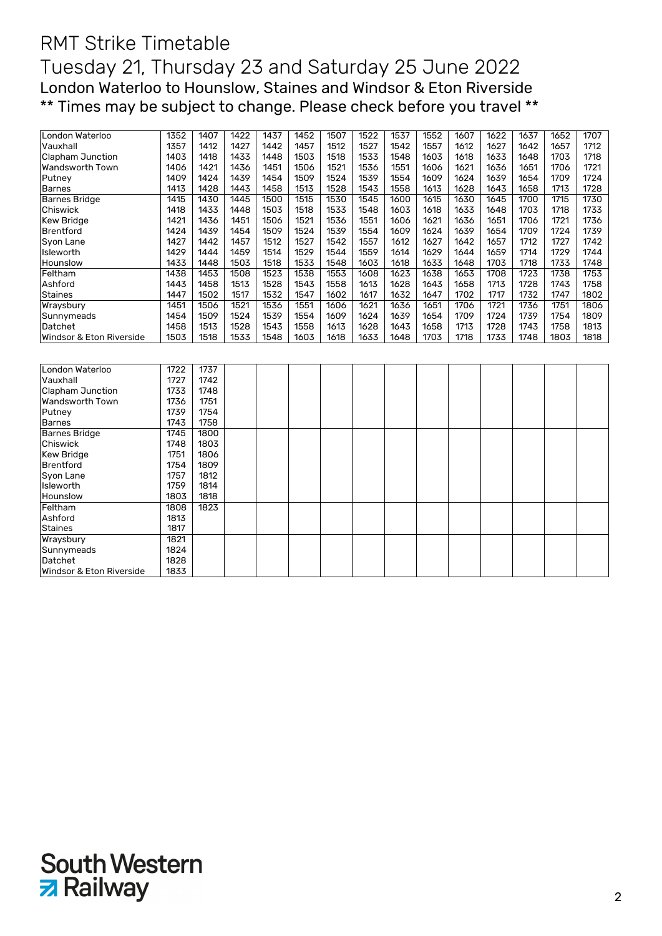## RMT Strike Timetable Tuesday 21, Thursday 23 and Saturday 25 June 2022 London Waterloo to Hounslow, Staines and Windsor & Eton Riverside \*\* Times may be subject to change. Please check before you travel \*\*

| London Waterloo          | 1352 | 1407 | 1422 | 1437 | 1452 | 1507 | 1522 | 1537 | 1552 | 1607 | 1622 | 1637 | 1652 | 1707 |
|--------------------------|------|------|------|------|------|------|------|------|------|------|------|------|------|------|
| Vauxhall                 | 1357 | 1412 | 1427 | 1442 | 1457 | 1512 | 1527 | 1542 | 1557 | 1612 | 1627 | 1642 | 1657 | 1712 |
| Clapham Junction         | 1403 | 1418 | 1433 | 1448 | 1503 | 1518 | 1533 | 1548 | 1603 | 1618 | 1633 | 1648 | 1703 | 1718 |
| Wandsworth Town          | 1406 | 1421 | 1436 | 1451 | 1506 | 1521 | 1536 | 1551 | 1606 | 1621 | 1636 | 1651 | 1706 | 1721 |
| Putney                   | 1409 | 1424 | 1439 | 1454 | 1509 | 1524 | 1539 | 1554 | 1609 | 1624 | 1639 | 1654 | 1709 | 1724 |
| <b>Barnes</b>            | 1413 | 1428 | 1443 | 1458 | 1513 | 1528 | 1543 | 1558 | 1613 | 1628 | 1643 | 1658 | 1713 | 1728 |
| <b>Barnes Bridge</b>     | 1415 | 1430 | 1445 | 1500 | 1515 | 1530 | 1545 | 1600 | 1615 | 1630 | 1645 | 1700 | 1715 | 1730 |
| Chiswick                 | 1418 | 1433 | 1448 | 1503 | 1518 | 1533 | 1548 | 1603 | 1618 | 1633 | 1648 | 1703 | 1718 | 1733 |
| Kew Bridge               | 1421 | 1436 | 1451 | 1506 | 1521 | 1536 | 1551 | 1606 | 1621 | 1636 | 1651 | 1706 | 1721 | 1736 |
| <b>Brentford</b>         | 1424 | 1439 | 1454 | 1509 | 1524 | 1539 | 1554 | 1609 | 1624 | 1639 | 1654 | 1709 | 1724 | 1739 |
| Syon Lane                | 1427 | 1442 | 1457 | 1512 | 1527 | 1542 | 1557 | 1612 | 1627 | 1642 | 1657 | 1712 | 1727 | 1742 |
| Isleworth                | 1429 | 1444 | 1459 | 1514 | 1529 | 1544 | 1559 | 1614 | 1629 | 1644 | 1659 | 1714 | 1729 | 1744 |
| Hounslow                 | 1433 | 1448 | 1503 | 1518 | 1533 | 1548 | 1603 | 1618 | 1633 | 1648 | 1703 | 1718 | 1733 | 1748 |
| Feltham                  | 1438 | 1453 | 1508 | 1523 | 1538 | 1553 | 1608 | 1623 | 1638 | 1653 | 1708 | 1723 | 1738 | 1753 |
| Ashford                  | 1443 | 1458 | 1513 | 1528 | 1543 | 1558 | 1613 | 1628 | 1643 | 1658 | 1713 | 1728 | 1743 | 1758 |
| <b>Staines</b>           | 1447 | 1502 | 1517 | 1532 | 1547 | 1602 | 1617 | 1632 | 1647 | 1702 | 1717 | 1732 | 1747 | 1802 |
| Wraysbury                | 1451 | 1506 | 1521 | 1536 | 1551 | 1606 | 1621 | 1636 | 1651 | 1706 | 1721 | 1736 | 1751 | 1806 |
| Sunnymeads               | 1454 | 1509 | 1524 | 1539 | 1554 | 1609 | 1624 | 1639 | 1654 | 1709 | 1724 | 1739 | 1754 | 1809 |
| Datchet                  | 1458 | 1513 | 1528 | 1543 | 1558 | 1613 | 1628 | 1643 | 1658 | 1713 | 1728 | 1743 | 1758 | 1813 |
| Windsor & Eton Riverside | 1503 | 1518 | 1533 | 1548 | 1603 | 1618 | 1633 | 1648 | 1703 | 1718 | 1733 | 1748 | 1803 | 1818 |
|                          |      |      |      |      |      |      |      |      |      |      |      |      |      |      |
|                          |      |      |      |      |      |      |      |      |      |      |      |      |      |      |
| London Waterloo          | 1722 | 1737 |      |      |      |      |      |      |      |      |      |      |      |      |
| Vauxhall                 | 1727 | 1742 |      |      |      |      |      |      |      |      |      |      |      |      |
| Clapham Junction         | 1733 | 1748 |      |      |      |      |      |      |      |      |      |      |      |      |
| Wandsworth Town          | 1736 | 1751 |      |      |      |      |      |      |      |      |      |      |      |      |
| Putney                   | 1739 | 1754 |      |      |      |      |      |      |      |      |      |      |      |      |
| <b>Barnes</b>            | 1743 | 1758 |      |      |      |      |      |      |      |      |      |      |      |      |
| <b>Barnes Bridge</b>     | 1745 | 1800 |      |      |      |      |      |      |      |      |      |      |      |      |
| Chiswick                 | 1748 | 1803 |      |      |      |      |      |      |      |      |      |      |      |      |
| Kew Bridge               | 1751 | 1806 |      |      |      |      |      |      |      |      |      |      |      |      |
| Brentford                | 1754 | 1809 |      |      |      |      |      |      |      |      |      |      |      |      |
| Syon Lane                | 1757 | 1812 |      |      |      |      |      |      |      |      |      |      |      |      |
| Isleworth                | 1759 | 1814 |      |      |      |      |      |      |      |      |      |      |      |      |
| Hounslow                 | 1803 | 1818 |      |      |      |      |      |      |      |      |      |      |      |      |
|                          |      |      |      |      |      |      |      |      |      |      |      |      |      |      |
| Feltham                  | 1808 | 1823 |      |      |      |      |      |      |      |      |      |      |      |      |
| Ashford                  | 1813 |      |      |      |      |      |      |      |      |      |      |      |      |      |
| <b>Staines</b>           | 1817 |      |      |      |      |      |      |      |      |      |      |      |      |      |
| Wraysbury                | 1821 |      |      |      |      |      |      |      |      |      |      |      |      |      |



Sunnymeads 1824<br>Datchet 1828 Datchet 1828<br>| Windsor & Eton Riverside | 1833 Windsor & Eton Riverside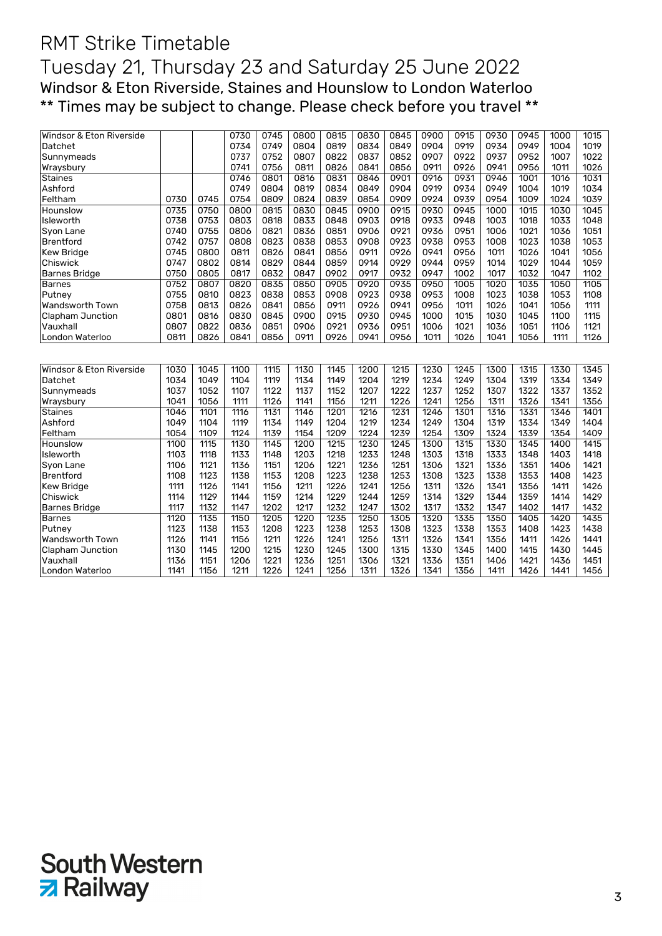## RMT Strike Timetable Tuesday 21, Thursday 23 and Saturday 25 June 2022 Windsor & Eton Riverside, Staines and Hounslow to London Waterloo \*\* Times may be subject to change. Please check before you travel \*\*

| Windsor & Eton Riverside |      |      | 0730 | 0745 | 0800 | 0815 | 0830 | 0845 | 0900 | 0915 | 0930 | 0945 | 1000 | 1015 |
|--------------------------|------|------|------|------|------|------|------|------|------|------|------|------|------|------|
| Datchet                  |      |      | 0734 | 0749 | 0804 | 0819 | 0834 | 0849 | 0904 | 0919 | 0934 | 0949 | 1004 | 1019 |
| Sunnymeads               |      |      | 0737 | 0752 | 0807 | 0822 | 0837 | 0852 | 0907 | 0922 | 0937 | 0952 | 1007 | 1022 |
| Wraysbury                |      |      | 0741 | 0756 | 0811 | 0826 | 0841 | 0856 | 0911 | 0926 | 0941 | 0956 | 1011 | 1026 |
| <b>Staines</b>           |      |      | 0746 | 0801 | 0816 | 0831 | 0846 | 0901 | 0916 | 0931 | 0946 | 1001 | 1016 | 1031 |
| Ashford                  |      |      | 0749 | 0804 | 0819 | 0834 | 0849 | 0904 | 0919 | 0934 | 0949 | 1004 | 1019 | 1034 |
| Feltham                  | 0730 | 0745 | 0754 | 0809 | 0824 | 0839 | 0854 | 0909 | 0924 | 0939 | 0954 | 1009 | 1024 | 1039 |
| Hounslow                 | 0735 | 0750 | 0800 | 0815 | 0830 | 0845 | 0900 | 0915 | 0930 | 0945 | 1000 | 1015 | 1030 | 1045 |
| Isleworth                | 0738 | 0753 | 0803 | 0818 | 0833 | 0848 | 0903 | 0918 | 0933 | 0948 | 1003 | 1018 | 1033 | 1048 |
| Syon Lane                | 0740 | 0755 | 0806 | 0821 | 0836 | 0851 | 0906 | 0921 | 0936 | 0951 | 1006 | 1021 | 1036 | 1051 |
| <b>Brentford</b>         | 0742 | 0757 | 0808 | 0823 | 0838 | 0853 | 0908 | 0923 | 0938 | 0953 | 1008 | 1023 | 1038 | 1053 |
| Kew Bridge               | 0745 | 0800 | 0811 | 0826 | 0841 | 0856 | 0911 | 0926 | 0941 | 0956 | 1011 | 1026 | 1041 | 1056 |
| Chiswick                 | 0747 | 0802 | 0814 | 0829 | 0844 | 0859 | 0914 | 0929 | 0944 | 0959 | 1014 | 1029 | 1044 | 1059 |
| <b>Barnes Bridge</b>     | 0750 | 0805 | 0817 | 0832 | 0847 | 0902 | 0917 | 0932 | 0947 | 1002 | 1017 | 1032 | 1047 | 1102 |
| <b>Barnes</b>            | 0752 | 0807 | 0820 | 0835 | 0850 | 0905 | 0920 | 0935 | 0950 | 1005 | 1020 | 1035 | 1050 | 1105 |
| Putney                   | 0755 | 0810 | 0823 | 0838 | 0853 | 0908 | 0923 | 0938 | 0953 | 1008 | 1023 | 1038 | 1053 | 1108 |
| Wandsworth Town          | 0758 | 0813 | 0826 | 0841 | 0856 | 0911 | 0926 | 0941 | 0956 | 1011 | 1026 | 1041 | 1056 | 1111 |
| <b>Clapham Junction</b>  | 0801 | 0816 | 0830 | 0845 | 0900 | 0915 | 0930 | 0945 | 1000 | 1015 | 1030 | 1045 | 1100 | 1115 |
| Vauxhall                 | 0807 | 0822 | 0836 | 0851 | 0906 | 0921 | 0936 | 0951 | 1006 | 1021 | 1036 | 1051 | 1106 | 1121 |
| London Waterloo          | 0811 | 0826 | 0841 | 0856 | 0911 | 0926 | 0941 | 0956 | 1011 | 1026 | 1041 | 1056 | 1111 | 1126 |
|                          |      |      |      |      |      |      |      |      |      |      |      |      |      |      |
|                          |      |      |      |      |      |      |      |      |      |      |      |      |      |      |
| Windsor & Eton Riverside | 1030 | 1045 | 1100 | 1115 | 1130 | 1145 | 1200 | 1215 | 1230 | 1245 | 1300 | 1315 | 1330 | 1345 |
| Datchet                  | 1034 | 1049 | 1104 | 1119 | 1134 | 1149 | 1204 | 1219 | 1234 | 1249 | 1304 | 1319 | 1334 | 1349 |
| Sunnymeads               | 1037 | 1052 | 1107 | 1122 | 1137 | 1152 | 1207 | 1222 | 1237 | 1252 | 1307 | 1322 | 1337 | 1352 |
| Wraysbury                | 1041 | 1056 | 1111 | 1126 | 1141 | 1156 | 1211 | 1226 | 1241 | 1256 | 1311 | 1326 | 1341 | 1356 |
| <b>Staines</b>           | 1046 | 1101 | 1116 | 1131 | 1146 | 1201 | 1216 | 1231 | 1246 | 1301 | 1316 | 1331 | 1346 | 1401 |
| Ashford                  | 1049 | 1104 | 1119 | 1134 | 1149 | 1204 | 1219 | 1234 | 1249 | 1304 | 1319 | 1334 | 1349 | 1404 |
| Feltham                  | 1054 | 1109 | 1124 | 1139 | 1154 | 1209 | 1224 | 1239 | 1254 | 1309 | 1324 | 1339 | 1354 | 1409 |
| Hounslow                 | 1100 | 1115 | 1130 | 1145 | 1200 | 1215 | 1230 | 1245 | 1300 | 1315 | 1330 | 1345 | 1400 | 1415 |
| Isleworth                | 1103 | 1118 | 1133 | 1148 | 1203 | 1218 | 1233 | 1248 | 1303 | 1318 | 1333 | 1348 | 1403 | 1418 |
| Syon Lane                | 1106 | 1121 | 1136 | 1151 | 1206 | 1221 | 1236 | 1251 | 1306 | 1321 | 1336 | 1351 | 1406 | 1421 |
| <b>Brentford</b>         | 1108 | 1123 | 1138 | 1153 | 1208 | 1223 | 1238 | 1253 | 1308 | 1323 | 1338 | 1353 | 1408 | 1423 |
| Kew Bridge               | 1111 | 1126 | 1141 | 1156 | 1211 | 1226 | 1241 | 1256 | 1311 | 1326 | 1341 | 1356 | 1411 | 1426 |
| Chiswick                 | 1114 | 1129 | 1144 | 1159 | 1214 | 1229 | 1244 | 1259 | 1314 | 1329 | 1344 | 1359 | 1414 | 1429 |
| <b>Barnes Bridge</b>     | 1117 | 1132 | 1147 | 1202 | 1217 | 1232 | 1247 | 1302 | 1317 | 1332 | 1347 | 1402 | 1417 | 1432 |
| <b>Barnes</b>            | 1120 | 1135 | 1150 | 1205 | 1220 | 1235 | 1250 | 1305 | 1320 | 1335 | 1350 | 1405 | 1420 | 1435 |
| Putney                   | 1123 | 1138 | 1153 | 1208 | 1223 | 1238 | 1253 | 1308 | 1323 | 1338 | 1353 | 1408 | 1423 | 1438 |
| Wandsworth Town          | 1126 | 1141 | 1156 | 1211 | 1226 | 1241 | 1256 | 1311 | 1326 | 1341 | 1356 | 1411 | 1426 | 1441 |
| Clapham Junction         | 1130 | 1145 | 1200 | 1215 | 1230 | 1245 | 1300 | 1315 | 1330 | 1345 | 1400 | 1415 | 1430 | 1445 |
| Vauxhall                 | 1136 | 1151 | 1206 | 1221 | 1236 | 1251 | 1306 | 1321 | 1336 | 1351 | 1406 | 1421 | 1436 | 1451 |
| London Waterloo          | 1141 | 1156 | 1211 | 1226 | 1241 | 1256 | 1311 | 1326 | 1341 | 1356 | 1411 | 1426 | 1441 | 1456 |